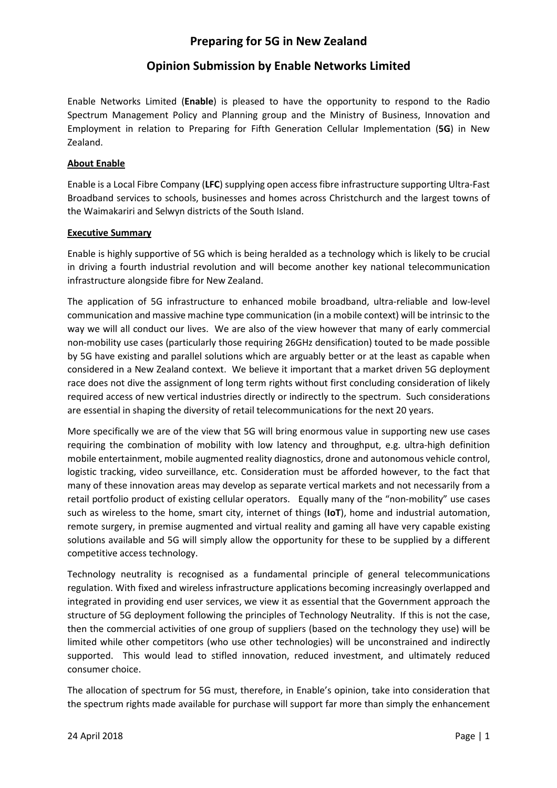# Opinion Submission by Enable Networks Limited

Enable Networks Limited (Enable) is pleased to have the opportunity to respond to the Radio Spectrum Management Policy and Planning group and the Ministry of Business, Innovation and Employment in relation to Preparing for Fifth Generation Cellular Implementation (5G) in New Zealand.

#### About Enable

Enable is a Local Fibre Company (LFC) supplying open access fibre infrastructure supporting Ultra-Fast Broadband services to schools, businesses and homes across Christchurch and the largest towns of the Waimakariri and Selwyn districts of the South Island.

#### Executive Summary

Enable is highly supportive of 5G which is being heralded as a technology which is likely to be crucial in driving a fourth industrial revolution and will become another key national telecommunication infrastructure alongside fibre for New Zealand.

The application of 5G infrastructure to enhanced mobile broadband, ultra-reliable and low-level communication and massive machine type communication (in a mobile context) will be intrinsic to the way we will all conduct our lives. We are also of the view however that many of early commercial non-mobility use cases (particularly those requiring 26GHz densification) touted to be made possible by 5G have existing and parallel solutions which are arguably better or at the least as capable when considered in a New Zealand context. We believe it important that a market driven 5G deployment race does not dive the assignment of long term rights without first concluding consideration of likely required access of new vertical industries directly or indirectly to the spectrum. Such considerations are essential in shaping the diversity of retail telecommunications for the next 20 years.

More specifically we are of the view that 5G will bring enormous value in supporting new use cases requiring the combination of mobility with low latency and throughput, e.g. ultra-high definition mobile entertainment, mobile augmented reality diagnostics, drone and autonomous vehicle control, logistic tracking, video surveillance, etc. Consideration must be afforded however, to the fact that many of these innovation areas may develop as separate vertical markets and not necessarily from a retail portfolio product of existing cellular operators. Equally many of the "non-mobility" use cases such as wireless to the home, smart city, internet of things (IoT), home and industrial automation, remote surgery, in premise augmented and virtual reality and gaming all have very capable existing solutions available and 5G will simply allow the opportunity for these to be supplied by a different competitive access technology.

Technology neutrality is recognised as a fundamental principle of general telecommunications regulation. With fixed and wireless infrastructure applications becoming increasingly overlapped and integrated in providing end user services, we view it as essential that the Government approach the structure of 5G deployment following the principles of Technology Neutrality. If this is not the case, then the commercial activities of one group of suppliers (based on the technology they use) will be limited while other competitors (who use other technologies) will be unconstrained and indirectly supported. This would lead to stifled innovation, reduced investment, and ultimately reduced consumer choice.

The allocation of spectrum for 5G must, therefore, in Enable's opinion, take into consideration that the spectrum rights made available for purchase will support far more than simply the enhancement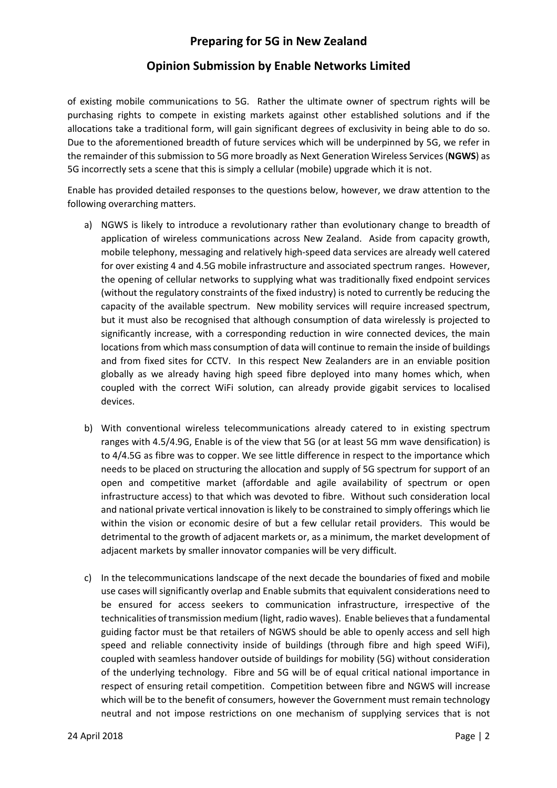### Opinion Submission by Enable Networks Limited

of existing mobile communications to 5G. Rather the ultimate owner of spectrum rights will be purchasing rights to compete in existing markets against other established solutions and if the allocations take a traditional form, will gain significant degrees of exclusivity in being able to do so. Due to the aforementioned breadth of future services which will be underpinned by 5G, we refer in the remainder of this submission to 5G more broadly as Next Generation Wireless Services (NGWS) as 5G incorrectly sets a scene that this is simply a cellular (mobile) upgrade which it is not.

Enable has provided detailed responses to the questions below, however, we draw attention to the following overarching matters.

- a) NGWS is likely to introduce a revolutionary rather than evolutionary change to breadth of application of wireless communications across New Zealand. Aside from capacity growth, mobile telephony, messaging and relatively high-speed data services are already well catered for over existing 4 and 4.5G mobile infrastructure and associated spectrum ranges. However, the opening of cellular networks to supplying what was traditionally fixed endpoint services (without the regulatory constraints of the fixed industry) is noted to currently be reducing the capacity of the available spectrum. New mobility services will require increased spectrum, but it must also be recognised that although consumption of data wirelessly is projected to significantly increase, with a corresponding reduction in wire connected devices, the main locations from which mass consumption of data will continue to remain the inside of buildings and from fixed sites for CCTV. In this respect New Zealanders are in an enviable position globally as we already having high speed fibre deployed into many homes which, when coupled with the correct WiFi solution, can already provide gigabit services to localised devices.
- b) With conventional wireless telecommunications already catered to in existing spectrum ranges with 4.5/4.9G, Enable is of the view that 5G (or at least 5G mm wave densification) is to 4/4.5G as fibre was to copper. We see little difference in respect to the importance which needs to be placed on structuring the allocation and supply of 5G spectrum for support of an open and competitive market (affordable and agile availability of spectrum or open infrastructure access) to that which was devoted to fibre. Without such consideration local and national private vertical innovation is likely to be constrained to simply offerings which lie within the vision or economic desire of but a few cellular retail providers. This would be detrimental to the growth of adjacent markets or, as a minimum, the market development of adjacent markets by smaller innovator companies will be very difficult.
- c) In the telecommunications landscape of the next decade the boundaries of fixed and mobile use cases will significantly overlap and Enable submits that equivalent considerations need to be ensured for access seekers to communication infrastructure, irrespective of the technicalities of transmission medium (light, radio waves). Enable believes that a fundamental guiding factor must be that retailers of NGWS should be able to openly access and sell high speed and reliable connectivity inside of buildings (through fibre and high speed WiFi), coupled with seamless handover outside of buildings for mobility (5G) without consideration of the underlying technology. Fibre and 5G will be of equal critical national importance in respect of ensuring retail competition. Competition between fibre and NGWS will increase which will be to the benefit of consumers, however the Government must remain technology neutral and not impose restrictions on one mechanism of supplying services that is not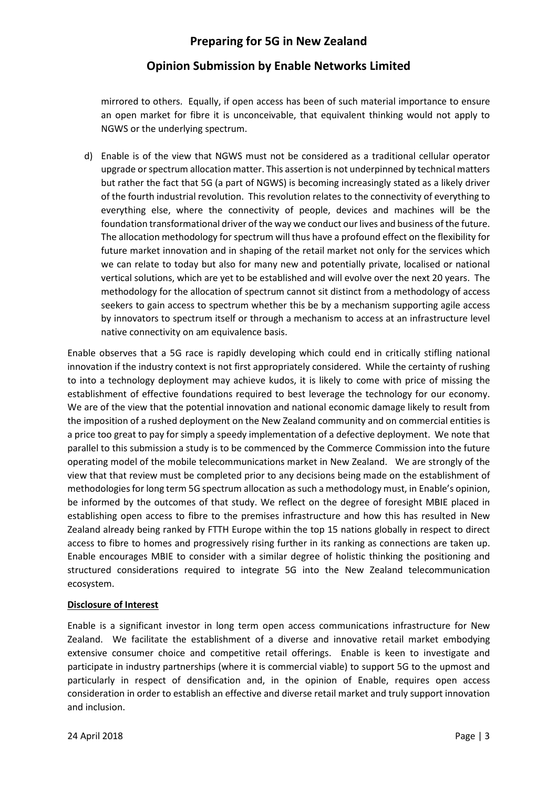## Opinion Submission by Enable Networks Limited

mirrored to others. Equally, if open access has been of such material importance to ensure an open market for fibre it is unconceivable, that equivalent thinking would not apply to NGWS or the underlying spectrum.

d) Enable is of the view that NGWS must not be considered as a traditional cellular operator upgrade or spectrum allocation matter. This assertion is not underpinned by technical matters but rather the fact that 5G (a part of NGWS) is becoming increasingly stated as a likely driver of the fourth industrial revolution. This revolution relates to the connectivity of everything to everything else, where the connectivity of people, devices and machines will be the foundation transformational driver of the way we conduct our lives and business of the future. The allocation methodology for spectrum will thus have a profound effect on the flexibility for future market innovation and in shaping of the retail market not only for the services which we can relate to today but also for many new and potentially private, localised or national vertical solutions, which are yet to be established and will evolve over the next 20 years. The methodology for the allocation of spectrum cannot sit distinct from a methodology of access seekers to gain access to spectrum whether this be by a mechanism supporting agile access by innovators to spectrum itself or through a mechanism to access at an infrastructure level native connectivity on am equivalence basis.

Enable observes that a 5G race is rapidly developing which could end in critically stifling national innovation if the industry context is not first appropriately considered. While the certainty of rushing to into a technology deployment may achieve kudos, it is likely to come with price of missing the establishment of effective foundations required to best leverage the technology for our economy. We are of the view that the potential innovation and national economic damage likely to result from the imposition of a rushed deployment on the New Zealand community and on commercial entities is a price too great to pay for simply a speedy implementation of a defective deployment. We note that parallel to this submission a study is to be commenced by the Commerce Commission into the future operating model of the mobile telecommunications market in New Zealand. We are strongly of the view that that review must be completed prior to any decisions being made on the establishment of methodologies for long term 5G spectrum allocation as such a methodology must, in Enable's opinion, be informed by the outcomes of that study. We reflect on the degree of foresight MBIE placed in establishing open access to fibre to the premises infrastructure and how this has resulted in New Zealand already being ranked by FTTH Europe within the top 15 nations globally in respect to direct access to fibre to homes and progressively rising further in its ranking as connections are taken up. Enable encourages MBIE to consider with a similar degree of holistic thinking the positioning and structured considerations required to integrate 5G into the New Zealand telecommunication ecosystem.

#### Disclosure of Interest

Enable is a significant investor in long term open access communications infrastructure for New Zealand. We facilitate the establishment of a diverse and innovative retail market embodying extensive consumer choice and competitive retail offerings. Enable is keen to investigate and participate in industry partnerships (where it is commercial viable) to support 5G to the upmost and particularly in respect of densification and, in the opinion of Enable, requires open access consideration in order to establish an effective and diverse retail market and truly support innovation and inclusion.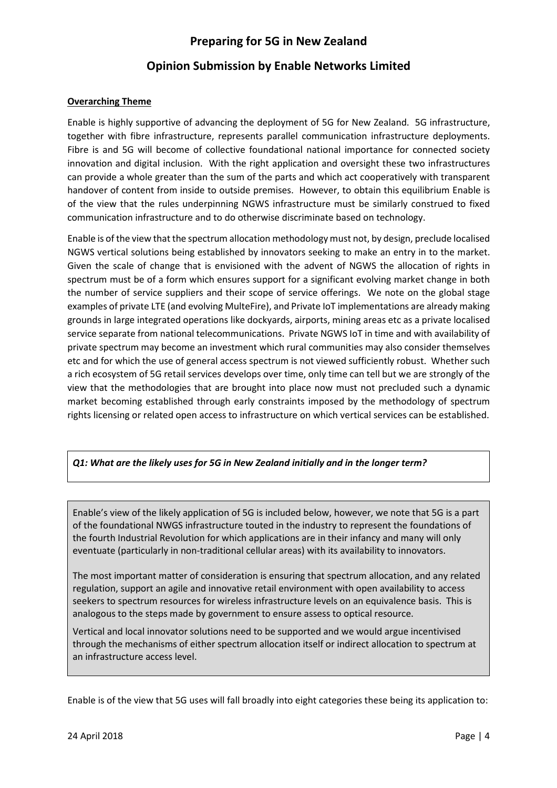### Opinion Submission by Enable Networks Limited

#### Overarching Theme

Enable is highly supportive of advancing the deployment of 5G for New Zealand. 5G infrastructure, together with fibre infrastructure, represents parallel communication infrastructure deployments. Fibre is and 5G will become of collective foundational national importance for connected society innovation and digital inclusion. With the right application and oversight these two infrastructures can provide a whole greater than the sum of the parts and which act cooperatively with transparent handover of content from inside to outside premises. However, to obtain this equilibrium Enable is of the view that the rules underpinning NGWS infrastructure must be similarly construed to fixed communication infrastructure and to do otherwise discriminate based on technology.

Enable is of the view that the spectrum allocation methodology must not, by design, preclude localised NGWS vertical solutions being established by innovators seeking to make an entry in to the market. Given the scale of change that is envisioned with the advent of NGWS the allocation of rights in spectrum must be of a form which ensures support for a significant evolving market change in both the number of service suppliers and their scope of service offerings. We note on the global stage examples of private LTE (and evolving MulteFire), and Private IoT implementations are already making grounds in large integrated operations like dockyards, airports, mining areas etc as a private localised service separate from national telecommunications. Private NGWS IoT in time and with availability of private spectrum may become an investment which rural communities may also consider themselves etc and for which the use of general access spectrum is not viewed sufficiently robust. Whether such a rich ecosystem of 5G retail services develops over time, only time can tell but we are strongly of the view that the methodologies that are brought into place now must not precluded such a dynamic market becoming established through early constraints imposed by the methodology of spectrum rights licensing or related open access to infrastructure on which vertical services can be established.

#### Q1: What are the likely uses for 5G in New Zealand initially and in the longer term?

Enable's view of the likely application of 5G is included below, however, we note that 5G is a part of the foundational NWGS infrastructure touted in the industry to represent the foundations of the fourth Industrial Revolution for which applications are in their infancy and many will only eventuate (particularly in non-traditional cellular areas) with its availability to innovators.

The most important matter of consideration is ensuring that spectrum allocation, and any related regulation, support an agile and innovative retail environment with open availability to access seekers to spectrum resources for wireless infrastructure levels on an equivalence basis. This is analogous to the steps made by government to ensure assess to optical resource.

Vertical and local innovator solutions need to be supported and we would argue incentivised through the mechanisms of either spectrum allocation itself or indirect allocation to spectrum at an infrastructure access level.

Enable is of the view that 5G uses will fall broadly into eight categories these being its application to: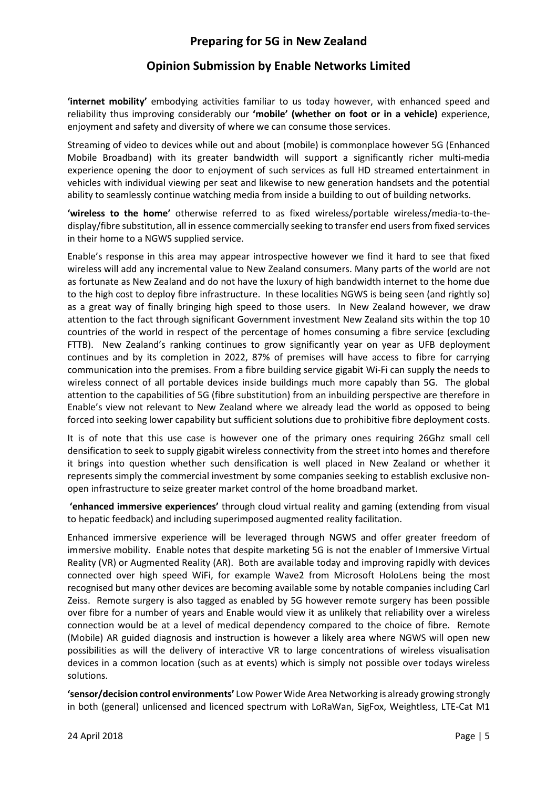'internet mobility' embodying activities familiar to us today however, with enhanced speed and reliability thus improving considerably our 'mobile' (whether on foot or in a vehicle) experience, enjoyment and safety and diversity of where we can consume those services.

Streaming of video to devices while out and about (mobile) is commonplace however 5G (Enhanced Mobile Broadband) with its greater bandwidth will support a significantly richer multi-media experience opening the door to enjoyment of such services as full HD streamed entertainment in vehicles with individual viewing per seat and likewise to new generation handsets and the potential ability to seamlessly continue watching media from inside a building to out of building networks.

'wireless to the home' otherwise referred to as fixed wireless/portable wireless/media-to-thedisplay/fibre substitution, all in essence commercially seeking to transfer end users from fixed services in their home to a NGWS supplied service.

Enable's response in this area may appear introspective however we find it hard to see that fixed wireless will add any incremental value to New Zealand consumers. Many parts of the world are not as fortunate as New Zealand and do not have the luxury of high bandwidth internet to the home due to the high cost to deploy fibre infrastructure. In these localities NGWS is being seen (and rightly so) as a great way of finally bringing high speed to those users. In New Zealand however, we draw attention to the fact through significant Government investment New Zealand sits within the top 10 countries of the world in respect of the percentage of homes consuming a fibre service (excluding FTTB). New Zealand's ranking continues to grow significantly year on year as UFB deployment continues and by its completion in 2022, 87% of premises will have access to fibre for carrying communication into the premises. From a fibre building service gigabit Wi-Fi can supply the needs to wireless connect of all portable devices inside buildings much more capably than 5G. The global attention to the capabilities of 5G (fibre substitution) from an inbuilding perspective are therefore in Enable's view not relevant to New Zealand where we already lead the world as opposed to being forced into seeking lower capability but sufficient solutions due to prohibitive fibre deployment costs.

It is of note that this use case is however one of the primary ones requiring 26Ghz small cell densification to seek to supply gigabit wireless connectivity from the street into homes and therefore it brings into question whether such densification is well placed in New Zealand or whether it represents simply the commercial investment by some companies seeking to establish exclusive nonopen infrastructure to seize greater market control of the home broadband market.

 'enhanced immersive experiences' through cloud virtual reality and gaming (extending from visual to hepatic feedback) and including superimposed augmented reality facilitation.

Enhanced immersive experience will be leveraged through NGWS and offer greater freedom of immersive mobility. Enable notes that despite marketing 5G is not the enabler of Immersive Virtual Reality (VR) or Augmented Reality (AR). Both are available today and improving rapidly with devices connected over high speed WiFi, for example Wave2 from Microsoft HoloLens being the most recognised but many other devices are becoming available some by notable companies including Carl Zeiss. Remote surgery is also tagged as enabled by 5G however remote surgery has been possible over fibre for a number of years and Enable would view it as unlikely that reliability over a wireless connection would be at a level of medical dependency compared to the choice of fibre. Remote (Mobile) AR guided diagnosis and instruction is however a likely area where NGWS will open new possibilities as will the delivery of interactive VR to large concentrations of wireless visualisation devices in a common location (such as at events) which is simply not possible over todays wireless solutions.

'sensor/decision control environments' Low Power Wide Area Networking is already growing strongly in both (general) unlicensed and licenced spectrum with LoRaWan, SigFox, Weightless, LTE-Cat M1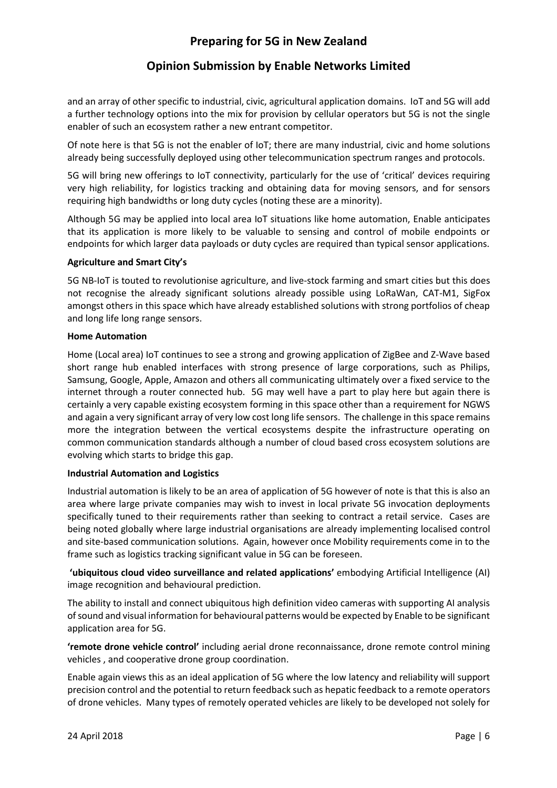## Opinion Submission by Enable Networks Limited

and an array of other specific to industrial, civic, agricultural application domains. IoT and 5G will add a further technology options into the mix for provision by cellular operators but 5G is not the single enabler of such an ecosystem rather a new entrant competitor.

Of note here is that 5G is not the enabler of IoT; there are many industrial, civic and home solutions already being successfully deployed using other telecommunication spectrum ranges and protocols.

5G will bring new offerings to IoT connectivity, particularly for the use of 'critical' devices requiring very high reliability, for logistics tracking and obtaining data for moving sensors, and for sensors requiring high bandwidths or long duty cycles (noting these are a minority).

Although 5G may be applied into local area IoT situations like home automation, Enable anticipates that its application is more likely to be valuable to sensing and control of mobile endpoints or endpoints for which larger data payloads or duty cycles are required than typical sensor applications.

#### Agriculture and Smart City's

5G NB-IoT is touted to revolutionise agriculture, and live-stock farming and smart cities but this does not recognise the already significant solutions already possible using LoRaWan, CAT-M1, SigFox amongst others in this space which have already established solutions with strong portfolios of cheap and long life long range sensors.

#### Home Automation

Home (Local area) IoT continues to see a strong and growing application of ZigBee and Z-Wave based short range hub enabled interfaces with strong presence of large corporations, such as Philips, Samsung, Google, Apple, Amazon and others all communicating ultimately over a fixed service to the internet through a router connected hub. 5G may well have a part to play here but again there is certainly a very capable existing ecosystem forming in this space other than a requirement for NGWS and again a very significant array of very low cost long life sensors. The challenge in this space remains more the integration between the vertical ecosystems despite the infrastructure operating on common communication standards although a number of cloud based cross ecosystem solutions are evolving which starts to bridge this gap.

#### Industrial Automation and Logistics

Industrial automation is likely to be an area of application of 5G however of note is that this is also an area where large private companies may wish to invest in local private 5G invocation deployments specifically tuned to their requirements rather than seeking to contract a retail service. Cases are being noted globally where large industrial organisations are already implementing localised control and site-based communication solutions. Again, however once Mobility requirements come in to the frame such as logistics tracking significant value in 5G can be foreseen.

 'ubiquitous cloud video surveillance and related applications' embodying Artificial Intelligence (AI) image recognition and behavioural prediction.

The ability to install and connect ubiquitous high definition video cameras with supporting AI analysis of sound and visual information for behavioural patterns would be expected by Enable to be significant application area for 5G.

'remote drone vehicle control' including aerial drone reconnaissance, drone remote control mining vehicles , and cooperative drone group coordination.

Enable again views this as an ideal application of 5G where the low latency and reliability will support precision control and the potential to return feedback such as hepatic feedback to a remote operators of drone vehicles. Many types of remotely operated vehicles are likely to be developed not solely for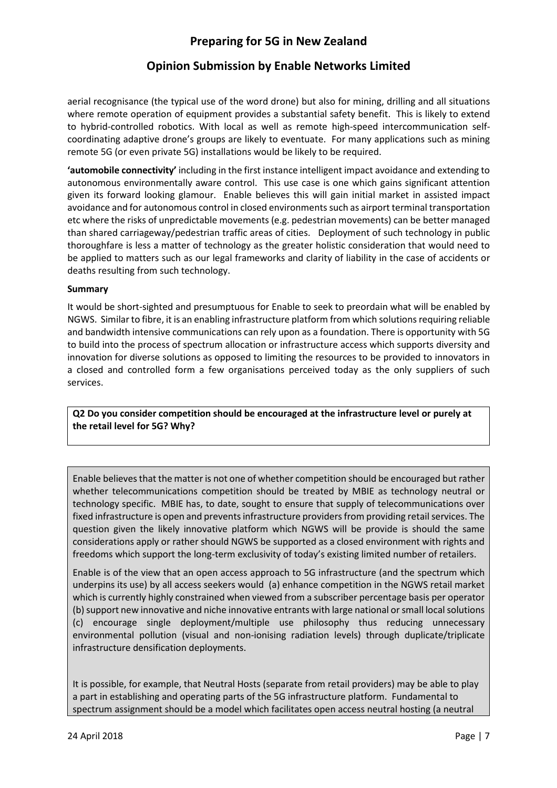## Opinion Submission by Enable Networks Limited

aerial recognisance (the typical use of the word drone) but also for mining, drilling and all situations where remote operation of equipment provides a substantial safety benefit. This is likely to extend to hybrid-controlled robotics. With local as well as remote high-speed intercommunication selfcoordinating adaptive drone's groups are likely to eventuate. For many applications such as mining remote 5G (or even private 5G) installations would be likely to be required.

'automobile connectivity' including in the first instance intelligent impact avoidance and extending to autonomous environmentally aware control. This use case is one which gains significant attention given its forward looking glamour. Enable believes this will gain initial market in assisted impact avoidance and for autonomous control in closed environments such as airport terminal transportation etc where the risks of unpredictable movements (e.g. pedestrian movements) can be better managed than shared carriageway/pedestrian traffic areas of cities. Deployment of such technology in public thoroughfare is less a matter of technology as the greater holistic consideration that would need to be applied to matters such as our legal frameworks and clarity of liability in the case of accidents or deaths resulting from such technology.

#### Summary

It would be short-sighted and presumptuous for Enable to seek to preordain what will be enabled by NGWS. Similar to fibre, it is an enabling infrastructure platform from which solutions requiring reliable and bandwidth intensive communications can rely upon as a foundation. There is opportunity with 5G to build into the process of spectrum allocation or infrastructure access which supports diversity and innovation for diverse solutions as opposed to limiting the resources to be provided to innovators in a closed and controlled form a few organisations perceived today as the only suppliers of such services.

Q2 Do you consider competition should be encouraged at the infrastructure level or purely at the retail level for 5G? Why?

Enable believes that the matter is not one of whether competition should be encouraged but rather whether telecommunications competition should be treated by MBIE as technology neutral or technology specific. MBIE has, to date, sought to ensure that supply of telecommunications over fixed infrastructure is open and prevents infrastructure providers from providing retail services. The question given the likely innovative platform which NGWS will be provide is should the same considerations apply or rather should NGWS be supported as a closed environment with rights and freedoms which support the long-term exclusivity of today's existing limited number of retailers.

Enable is of the view that an open access approach to 5G infrastructure (and the spectrum which underpins its use) by all access seekers would (a) enhance competition in the NGWS retail market which is currently highly constrained when viewed from a subscriber percentage basis per operator (b) support new innovative and niche innovative entrants with large national or small local solutions (c) encourage single deployment/multiple use philosophy thus reducing unnecessary environmental pollution (visual and non-ionising radiation levels) through duplicate/triplicate infrastructure densification deployments.

It is possible, for example, that Neutral Hosts (separate from retail providers) may be able to play a part in establishing and operating parts of the 5G infrastructure platform. Fundamental to spectrum assignment should be a model which facilitates open access neutral hosting (a neutral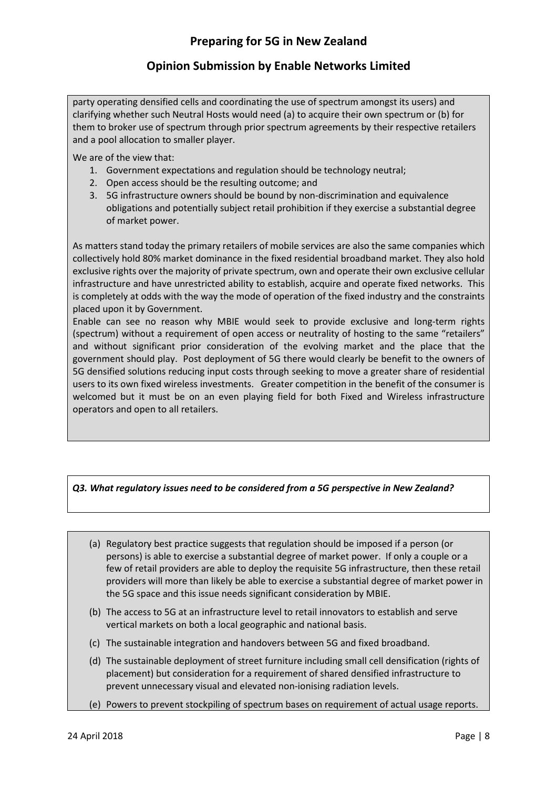# Opinion Submission by Enable Networks Limited

party operating densified cells and coordinating the use of spectrum amongst its users) and clarifying whether such Neutral Hosts would need (a) to acquire their own spectrum or (b) for them to broker use of spectrum through prior spectrum agreements by their respective retailers and a pool allocation to smaller player.

We are of the view that:

- 1. Government expectations and regulation should be technology neutral;
- 2. Open access should be the resulting outcome; and
- 3. 5G infrastructure owners should be bound by non-discrimination and equivalence obligations and potentially subject retail prohibition if they exercise a substantial degree of market power.

As matters stand today the primary retailers of mobile services are also the same companies which collectively hold 80% market dominance in the fixed residential broadband market. They also hold exclusive rights over the majority of private spectrum, own and operate their own exclusive cellular infrastructure and have unrestricted ability to establish, acquire and operate fixed networks. This is completely at odds with the way the mode of operation of the fixed industry and the constraints placed upon it by Government.

Enable can see no reason why MBIE would seek to provide exclusive and long-term rights (spectrum) without a requirement of open access or neutrality of hosting to the same "retailers" and without significant prior consideration of the evolving market and the place that the government should play. Post deployment of 5G there would clearly be benefit to the owners of 5G densified solutions reducing input costs through seeking to move a greater share of residential users to its own fixed wireless investments. Greater competition in the benefit of the consumer is welcomed but it must be on an even playing field for both Fixed and Wireless infrastructure operators and open to all retailers.

#### Q3. What regulatory issues need to be considered from a 5G perspective in New Zealand?

- (a) Regulatory best practice suggests that regulation should be imposed if a person (or persons) is able to exercise a substantial degree of market power. If only a couple or a few of retail providers are able to deploy the requisite 5G infrastructure, then these retail providers will more than likely be able to exercise a substantial degree of market power in the 5G space and this issue needs significant consideration by MBIE.
- (b) The access to 5G at an infrastructure level to retail innovators to establish and serve vertical markets on both a local geographic and national basis.
- (c) The sustainable integration and handovers between 5G and fixed broadband.
- (d) The sustainable deployment of street furniture including small cell densification (rights of placement) but consideration for a requirement of shared densified infrastructure to prevent unnecessary visual and elevated non-ionising radiation levels.
- (e) Powers to prevent stockpiling of spectrum bases on requirement of actual usage reports.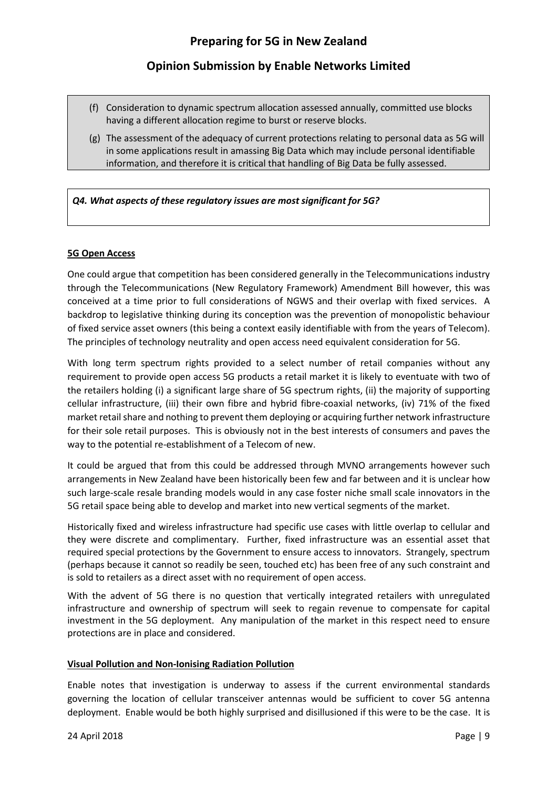- (f) Consideration to dynamic spectrum allocation assessed annually, committed use blocks having a different allocation regime to burst or reserve blocks.
- (g) The assessment of the adequacy of current protections relating to personal data as 5G will in some applications result in amassing Big Data which may include personal identifiable information, and therefore it is critical that handling of Big Data be fully assessed.

#### Q4. What aspects of these regulatory issues are most significant for 5G?

#### 5G Open Access

One could argue that competition has been considered generally in the Telecommunications industry through the Telecommunications (New Regulatory Framework) Amendment Bill however, this was conceived at a time prior to full considerations of NGWS and their overlap with fixed services. A backdrop to legislative thinking during its conception was the prevention of monopolistic behaviour of fixed service asset owners (this being a context easily identifiable with from the years of Telecom). The principles of technology neutrality and open access need equivalent consideration for 5G.

With long term spectrum rights provided to a select number of retail companies without any requirement to provide open access 5G products a retail market it is likely to eventuate with two of the retailers holding (i) a significant large share of 5G spectrum rights, (ii) the majority of supporting cellular infrastructure, (iii) their own fibre and hybrid fibre-coaxial networks, (iv) 71% of the fixed market retail share and nothing to prevent them deploying or acquiring further network infrastructure for their sole retail purposes. This is obviously not in the best interests of consumers and paves the way to the potential re-establishment of a Telecom of new.

It could be argued that from this could be addressed through MVNO arrangements however such arrangements in New Zealand have been historically been few and far between and it is unclear how such large-scale resale branding models would in any case foster niche small scale innovators in the 5G retail space being able to develop and market into new vertical segments of the market.

Historically fixed and wireless infrastructure had specific use cases with little overlap to cellular and they were discrete and complimentary. Further, fixed infrastructure was an essential asset that required special protections by the Government to ensure access to innovators. Strangely, spectrum (perhaps because it cannot so readily be seen, touched etc) has been free of any such constraint and is sold to retailers as a direct asset with no requirement of open access.

With the advent of 5G there is no question that vertically integrated retailers with unregulated infrastructure and ownership of spectrum will seek to regain revenue to compensate for capital investment in the 5G deployment. Any manipulation of the market in this respect need to ensure protections are in place and considered.

#### Visual Pollution and Non-Ionising Radiation Pollution

Enable notes that investigation is underway to assess if the current environmental standards governing the location of cellular transceiver antennas would be sufficient to cover 5G antenna deployment. Enable would be both highly surprised and disillusioned if this were to be the case. It is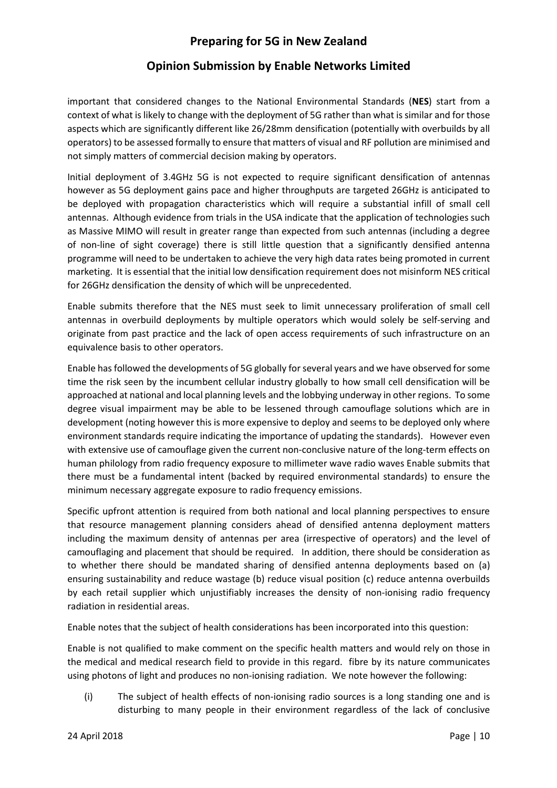### Opinion Submission by Enable Networks Limited

important that considered changes to the National Environmental Standards (NES) start from a context of what is likely to change with the deployment of 5G rather than what is similar and for those aspects which are significantly different like 26/28mm densification (potentially with overbuilds by all operators) to be assessed formally to ensure that matters of visual and RF pollution are minimised and not simply matters of commercial decision making by operators.

Initial deployment of 3.4GHz 5G is not expected to require significant densification of antennas however as 5G deployment gains pace and higher throughputs are targeted 26GHz is anticipated to be deployed with propagation characteristics which will require a substantial infill of small cell antennas. Although evidence from trials in the USA indicate that the application of technologies such as Massive MIMO will result in greater range than expected from such antennas (including a degree of non-line of sight coverage) there is still little question that a significantly densified antenna programme will need to be undertaken to achieve the very high data rates being promoted in current marketing. It is essential that the initial low densification requirement does not misinform NES critical for 26GHz densification the density of which will be unprecedented.

Enable submits therefore that the NES must seek to limit unnecessary proliferation of small cell antennas in overbuild deployments by multiple operators which would solely be self-serving and originate from past practice and the lack of open access requirements of such infrastructure on an equivalence basis to other operators.

Enable has followed the developments of 5G globally for several years and we have observed for some time the risk seen by the incumbent cellular industry globally to how small cell densification will be approached at national and local planning levels and the lobbying underway in other regions. To some degree visual impairment may be able to be lessened through camouflage solutions which are in development (noting however this is more expensive to deploy and seems to be deployed only where environment standards require indicating the importance of updating the standards). However even with extensive use of camouflage given the current non-conclusive nature of the long-term effects on human philology from radio frequency exposure to millimeter wave radio waves Enable submits that there must be a fundamental intent (backed by required environmental standards) to ensure the minimum necessary aggregate exposure to radio frequency emissions.

Specific upfront attention is required from both national and local planning perspectives to ensure that resource management planning considers ahead of densified antenna deployment matters including the maximum density of antennas per area (irrespective of operators) and the level of camouflaging and placement that should be required. In addition, there should be consideration as to whether there should be mandated sharing of densified antenna deployments based on (a) ensuring sustainability and reduce wastage (b) reduce visual position (c) reduce antenna overbuilds by each retail supplier which unjustifiably increases the density of non-ionising radio frequency radiation in residential areas.

Enable notes that the subject of health considerations has been incorporated into this question:

Enable is not qualified to make comment on the specific health matters and would rely on those in the medical and medical research field to provide in this regard. fibre by its nature communicates using photons of light and produces no non-ionising radiation. We note however the following:

(i) The subject of health effects of non-ionising radio sources is a long standing one and is disturbing to many people in their environment regardless of the lack of conclusive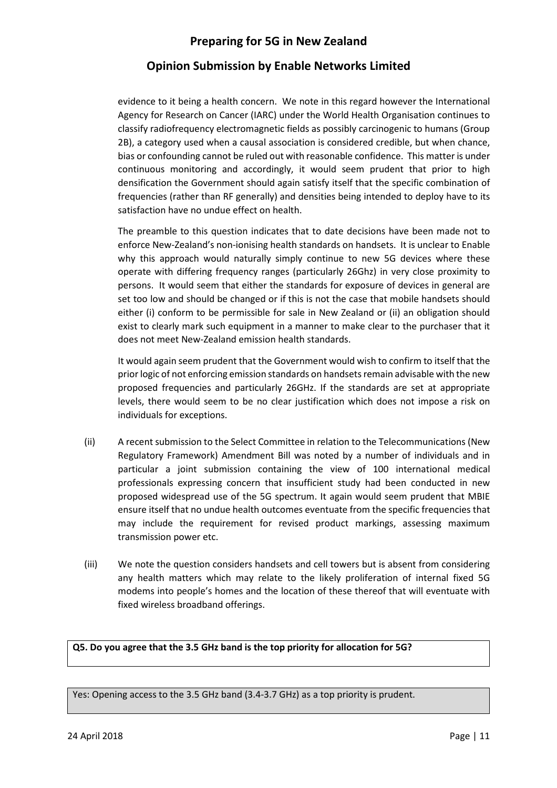## Opinion Submission by Enable Networks Limited

evidence to it being a health concern. We note in this regard however the International Agency for Research on Cancer (IARC) under the World Health Organisation continues to classify radiofrequency electromagnetic fields as possibly carcinogenic to humans (Group 2B), a category used when a causal association is considered credible, but when chance, bias or confounding cannot be ruled out with reasonable confidence. This matter is under continuous monitoring and accordingly, it would seem prudent that prior to high densification the Government should again satisfy itself that the specific combination of frequencies (rather than RF generally) and densities being intended to deploy have to its satisfaction have no undue effect on health.

The preamble to this question indicates that to date decisions have been made not to enforce New-Zealand's non-ionising health standards on handsets. It is unclear to Enable why this approach would naturally simply continue to new 5G devices where these operate with differing frequency ranges (particularly 26Ghz) in very close proximity to persons. It would seem that either the standards for exposure of devices in general are set too low and should be changed or if this is not the case that mobile handsets should either (i) conform to be permissible for sale in New Zealand or (ii) an obligation should exist to clearly mark such equipment in a manner to make clear to the purchaser that it does not meet New-Zealand emission health standards.

It would again seem prudent that the Government would wish to confirm to itself that the prior logic of not enforcing emission standards on handsets remain advisable with the new proposed frequencies and particularly 26GHz. If the standards are set at appropriate levels, there would seem to be no clear justification which does not impose a risk on individuals for exceptions.

- (ii) A recent submission to the Select Committee in relation to the Telecommunications (New Regulatory Framework) Amendment Bill was noted by a number of individuals and in particular a joint submission containing the view of 100 international medical professionals expressing concern that insufficient study had been conducted in new proposed widespread use of the 5G spectrum. It again would seem prudent that MBIE ensure itself that no undue health outcomes eventuate from the specific frequencies that may include the requirement for revised product markings, assessing maximum transmission power etc.
- (iii) We note the question considers handsets and cell towers but is absent from considering any health matters which may relate to the likely proliferation of internal fixed 5G modems into people's homes and the location of these thereof that will eventuate with fixed wireless broadband offerings.

Q5. Do you agree that the 3.5 GHz band is the top priority for allocation for 5G?

Yes: Opening access to the 3.5 GHz band (3.4-3.7 GHz) as a top priority is prudent.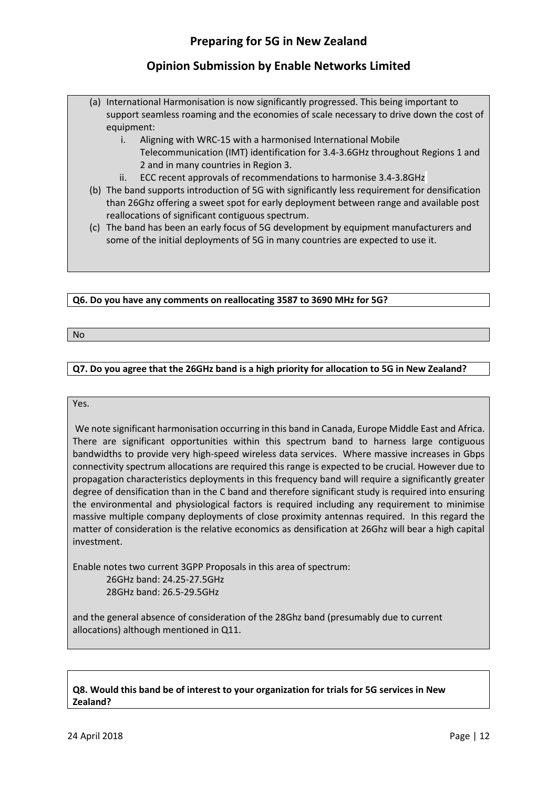- (a) International Harmonisation is now significantly progressed. This being important to support seamless roaming and the economies of scale necessary to drive down the cost of equipment:
	- i. Aligning with WRC-15 with a harmonised International Mobile Telecommunication (IMT) identification for 3.4-3.6GHz throughout Regions 1 and 2 and in many countries in Region 3.
	- ii. ECC recent approvals of recommendations to harmonise 3.4-3.8GHz
- (b) The band supports introduction of 5G with significantly less requirement for densification than 26Ghz offering a sweet spot for early deployment between range and available post reallocations of significant contiguous spectrum.
- (c) The band has been an early focus of 5G development by equipment manufacturers and some of the initial deployments of 5G in many countries are expected to use it.

#### Q6. Do you have any comments on reallocating 3587 to 3690 MHz for 5G?

No

#### Q7. Do you agree that the 26GHz band is a high priority for allocation to 5G in New Zealand?

#### Yes.

 We note significant harmonisation occurring in this band in Canada, Europe Middle East and Africa. There are significant opportunities within this spectrum band to harness large contiguous bandwidths to provide very high-speed wireless data services. Where massive increases in Gbps connectivity spectrum allocations are required this range is expected to be crucial. However due to propagation characteristics deployments in this frequency band will require a significantly greater degree of densification than in the C band and therefore significant study is required into ensuring the environmental and physiological factors is required including any requirement to minimise massive multiple company deployments of close proximity antennas required. In this regard the matter of consideration is the relative economics as densification at 26Ghz will bear a high capital investment.

Enable notes two current 3GPP Proposals in this area of spectrum: 26GHz band: 24.25-27.5GHz 28GHz band: 26.5-29.5GHz

and the general absence of consideration of the 28Ghz band (presumably due to current allocations) although mentioned in Q11.

#### Q8. Would this band be of interest to your organization for trials for 5G services in New Zealand?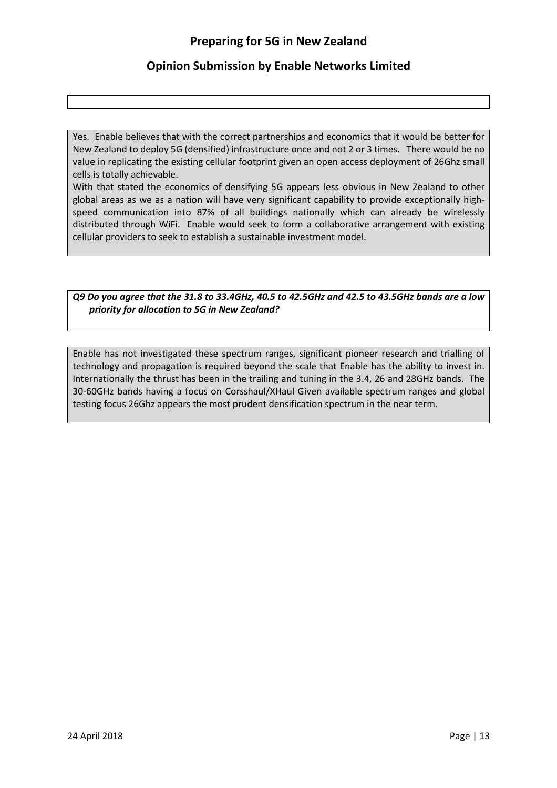### Opinion Submission by Enable Networks Limited

Yes. Enable believes that with the correct partnerships and economics that it would be better for New Zealand to deploy 5G (densified) infrastructure once and not 2 or 3 times. There would be no value in replicating the existing cellular footprint given an open access deployment of 26Ghz small cells is totally achievable.

With that stated the economics of densifying 5G appears less obvious in New Zealand to other global areas as we as a nation will have very significant capability to provide exceptionally highspeed communication into 87% of all buildings nationally which can already be wirelessly distributed through WiFi. Enable would seek to form a collaborative arrangement with existing cellular providers to seek to establish a sustainable investment model.

#### Q9 Do you agree that the 31.8 to 33.4GHz, 40.5 to 42.5GHz and 42.5 to 43.5GHz bands are a low priority for allocation to 5G in New Zealand?

Enable has not investigated these spectrum ranges, significant pioneer research and trialling of technology and propagation is required beyond the scale that Enable has the ability to invest in. Internationally the thrust has been in the trailing and tuning in the 3.4, 26 and 28GHz bands. The 30-60GHz bands having a focus on Corsshaul/XHaul Given available spectrum ranges and global testing focus 26Ghz appears the most prudent densification spectrum in the near term.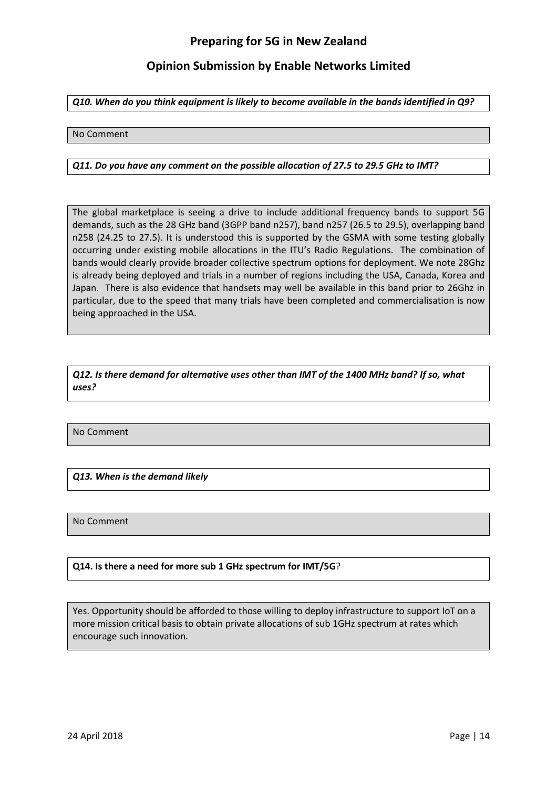### Opinion Submission by Enable Networks Limited

Q10. When do you think equipment is likely to become available in the bands identified in Q9?

#### No Comment

#### Q11. Do you have any comment on the possible allocation of 27.5 to 29.5 GHz to IMT?

The global marketplace is seeing a drive to include additional frequency bands to support 5G demands, such as the 28 GHz band (3GPP band n257), band n257 (26.5 to 29.5), overlapping band n258 (24.25 to 27.5). It is understood this is supported by the GSMA with some testing globally occurring under existing mobile allocations in the ITU's Radio Regulations. The combination of bands would clearly provide broader collective spectrum options for deployment. We note 28Ghz is already being deployed and trials in a number of regions including the USA, Canada, Korea and Japan. There is also evidence that handsets may well be available in this band prior to 26Ghz in particular, due to the speed that many trials have been completed and commercialisation is now being approached in the USA.

Q12. Is there demand for alternative uses other than IMT of the 1400 MHz band? If so, what uses?

No Comment

Q13. When is the demand likely

No Comment

#### Q14. Is there a need for more sub 1 GHz spectrum for IMT/5G?

Yes. Opportunity should be afforded to those willing to deploy infrastructure to support IoT on a more mission critical basis to obtain private allocations of sub 1GHz spectrum at rates which encourage such innovation.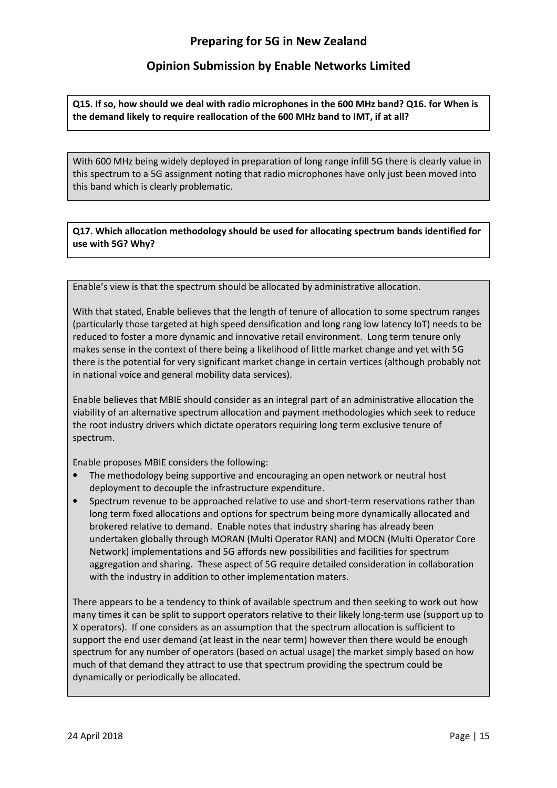Q15. If so, how should we deal with radio microphones in the 600 MHz band? Q16. for When is the demand likely to require reallocation of the 600 MHz band to IMT, if at all?

With 600 MHz being widely deployed in preparation of long range infill 5G there is clearly value in this spectrum to a 5G assignment noting that radio microphones have only just been moved into this band which is clearly problematic.

Q17. Which allocation methodology should be used for allocating spectrum bands identified for use with 5G? Why?

Enable's view is that the spectrum should be allocated by administrative allocation.

With that stated, Enable believes that the length of tenure of allocation to some spectrum ranges (particularly those targeted at high speed densification and long rang low latency IoT) needs to be reduced to foster a more dynamic and innovative retail environment. Long term tenure only makes sense in the context of there being a likelihood of little market change and yet with 5G there is the potential for very significant market change in certain vertices (although probably not in national voice and general mobility data services).

Enable believes that MBIE should consider as an integral part of an administrative allocation the viability of an alternative spectrum allocation and payment methodologies which seek to reduce the root industry drivers which dictate operators requiring long term exclusive tenure of spectrum.

Enable proposes MBIE considers the following:

- The methodology being supportive and encouraging an open network or neutral host deployment to decouple the infrastructure expenditure.
- Spectrum revenue to be approached relative to use and short-term reservations rather than long term fixed allocations and options for spectrum being more dynamically allocated and brokered relative to demand. Enable notes that industry sharing has already been undertaken globally through MORAN (Multi Operator RAN) and MOCN (Multi Operator Core Network) implementations and 5G affords new possibilities and facilities for spectrum aggregation and sharing. These aspect of 5G require detailed consideration in collaboration with the industry in addition to other implementation maters.

There appears to be a tendency to think of available spectrum and then seeking to work out how many times it can be split to support operators relative to their likely long-term use (support up to X operators). If one considers as an assumption that the spectrum allocation is sufficient to support the end user demand (at least in the near term) however then there would be enough spectrum for any number of operators (based on actual usage) the market simply based on how much of that demand they attract to use that spectrum providing the spectrum could be dynamically or periodically be allocated.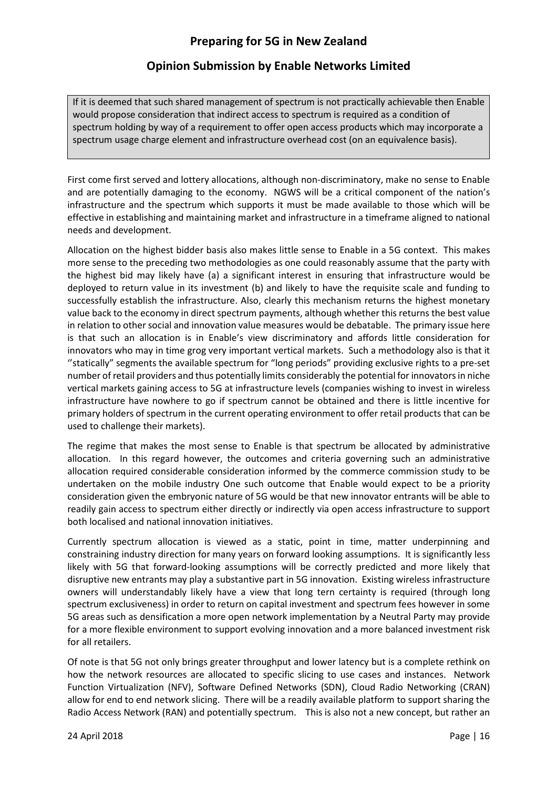If it is deemed that such shared management of spectrum is not practically achievable then Enable would propose consideration that indirect access to spectrum is required as a condition of spectrum holding by way of a requirement to offer open access products which may incorporate a spectrum usage charge element and infrastructure overhead cost (on an equivalence basis).

First come first served and lottery allocations, although non-discriminatory, make no sense to Enable and are potentially damaging to the economy. NGWS will be a critical component of the nation's infrastructure and the spectrum which supports it must be made available to those which will be effective in establishing and maintaining market and infrastructure in a timeframe aligned to national needs and development.

Allocation on the highest bidder basis also makes little sense to Enable in a 5G context. This makes more sense to the preceding two methodologies as one could reasonably assume that the party with the highest bid may likely have (a) a significant interest in ensuring that infrastructure would be deployed to return value in its investment (b) and likely to have the requisite scale and funding to successfully establish the infrastructure. Also, clearly this mechanism returns the highest monetary value back to the economy in direct spectrum payments, although whether this returns the best value in relation to other social and innovation value measures would be debatable. The primary issue here is that such an allocation is in Enable's view discriminatory and affords little consideration for innovators who may in time grog very important vertical markets. Such a methodology also is that it ''statically" segments the available spectrum for "long periods" providing exclusive rights to a pre-set number of retail providers and thus potentially limits considerably the potential for innovators in niche vertical markets gaining access to 5G at infrastructure levels (companies wishing to invest in wireless infrastructure have nowhere to go if spectrum cannot be obtained and there is little incentive for primary holders of spectrum in the current operating environment to offer retail products that can be used to challenge their markets).

The regime that makes the most sense to Enable is that spectrum be allocated by administrative allocation. In this regard however, the outcomes and criteria governing such an administrative allocation required considerable consideration informed by the commerce commission study to be undertaken on the mobile industry One such outcome that Enable would expect to be a priority consideration given the embryonic nature of 5G would be that new innovator entrants will be able to readily gain access to spectrum either directly or indirectly via open access infrastructure to support both localised and national innovation initiatives.

Currently spectrum allocation is viewed as a static, point in time, matter underpinning and constraining industry direction for many years on forward looking assumptions. It is significantly less likely with 5G that forward-looking assumptions will be correctly predicted and more likely that disruptive new entrants may play a substantive part in 5G innovation. Existing wireless infrastructure owners will understandably likely have a view that long tern certainty is required (through long spectrum exclusiveness) in order to return on capital investment and spectrum fees however in some 5G areas such as densification a more open network implementation by a Neutral Party may provide for a more flexible environment to support evolving innovation and a more balanced investment risk for all retailers.

Of note is that 5G not only brings greater throughput and lower latency but is a complete rethink on how the network resources are allocated to specific slicing to use cases and instances. Network Function Virtualization (NFV), Software Defined Networks (SDN), Cloud Radio Networking (CRAN) allow for end to end network slicing. There will be a readily available platform to support sharing the Radio Access Network (RAN) and potentially spectrum. This is also not a new concept, but rather an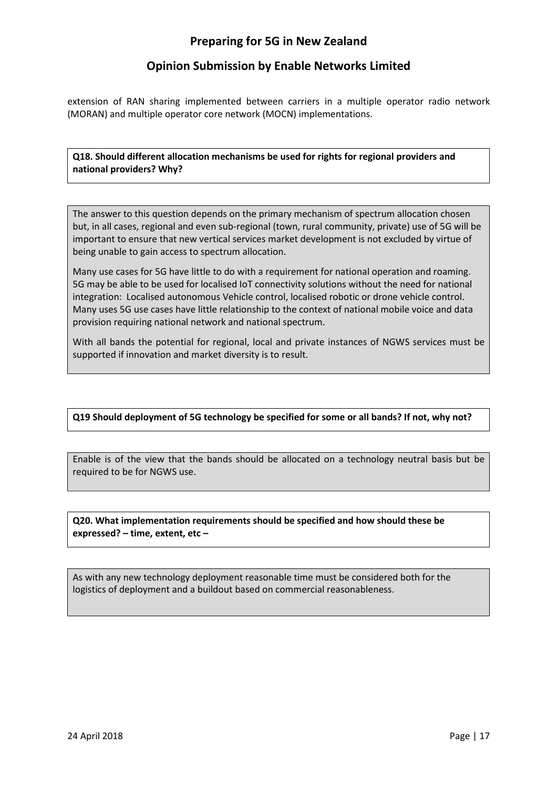### Opinion Submission by Enable Networks Limited

extension of RAN sharing implemented between carriers in a multiple operator radio network (MORAN) and multiple operator core network (MOCN) implementations.

#### Q18. Should different allocation mechanisms be used for rights for regional providers and national providers? Why?

The answer to this question depends on the primary mechanism of spectrum allocation chosen but, in all cases, regional and even sub-regional (town, rural community, private) use of 5G will be important to ensure that new vertical services market development is not excluded by virtue of being unable to gain access to spectrum allocation.

Many use cases for 5G have little to do with a requirement for national operation and roaming. 5G may be able to be used for localised IoT connectivity solutions without the need for national integration: Localised autonomous Vehicle control, localised robotic or drone vehicle control. Many uses 5G use cases have little relationship to the context of national mobile voice and data provision requiring national network and national spectrum.

With all bands the potential for regional, local and private instances of NGWS services must be supported if innovation and market diversity is to result.

#### Q19 Should deployment of 5G technology be specified for some or all bands? If not, why not?

Enable is of the view that the bands should be allocated on a technology neutral basis but be required to be for NGWS use.

#### Q20. What implementation requirements should be specified and how should these be expressed? – time, extent, etc –

As with any new technology deployment reasonable time must be considered both for the logistics of deployment and a buildout based on commercial reasonableness.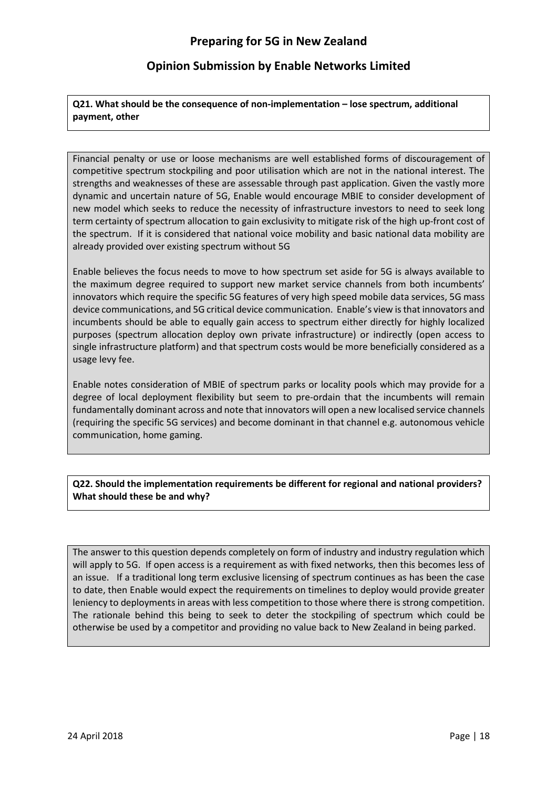Q21. What should be the consequence of non-implementation – lose spectrum, additional payment, other

Financial penalty or use or loose mechanisms are well established forms of discouragement of competitive spectrum stockpiling and poor utilisation which are not in the national interest. The strengths and weaknesses of these are assessable through past application. Given the vastly more dynamic and uncertain nature of 5G, Enable would encourage MBIE to consider development of new model which seeks to reduce the necessity of infrastructure investors to need to seek long term certainty of spectrum allocation to gain exclusivity to mitigate risk of the high up-front cost of the spectrum. If it is considered that national voice mobility and basic national data mobility are already provided over existing spectrum without 5G

Enable believes the focus needs to move to how spectrum set aside for 5G is always available to the maximum degree required to support new market service channels from both incumbents' innovators which require the specific 5G features of very high speed mobile data services, 5G mass device communications, and 5G critical device communication. Enable's view is that innovators and incumbents should be able to equally gain access to spectrum either directly for highly localized purposes (spectrum allocation deploy own private infrastructure) or indirectly (open access to single infrastructure platform) and that spectrum costs would be more beneficially considered as a usage levy fee.

Enable notes consideration of MBIE of spectrum parks or locality pools which may provide for a degree of local deployment flexibility but seem to pre-ordain that the incumbents will remain fundamentally dominant across and note that innovators will open a new localised service channels (requiring the specific 5G services) and become dominant in that channel e.g. autonomous vehicle communication, home gaming.

Q22. Should the implementation requirements be different for regional and national providers? What should these be and why?

The answer to this question depends completely on form of industry and industry regulation which will apply to 5G. If open access is a requirement as with fixed networks, then this becomes less of an issue. If a traditional long term exclusive licensing of spectrum continues as has been the case to date, then Enable would expect the requirements on timelines to deploy would provide greater leniency to deployments in areas with less competition to those where there is strong competition. The rationale behind this being to seek to deter the stockpiling of spectrum which could be otherwise be used by a competitor and providing no value back to New Zealand in being parked.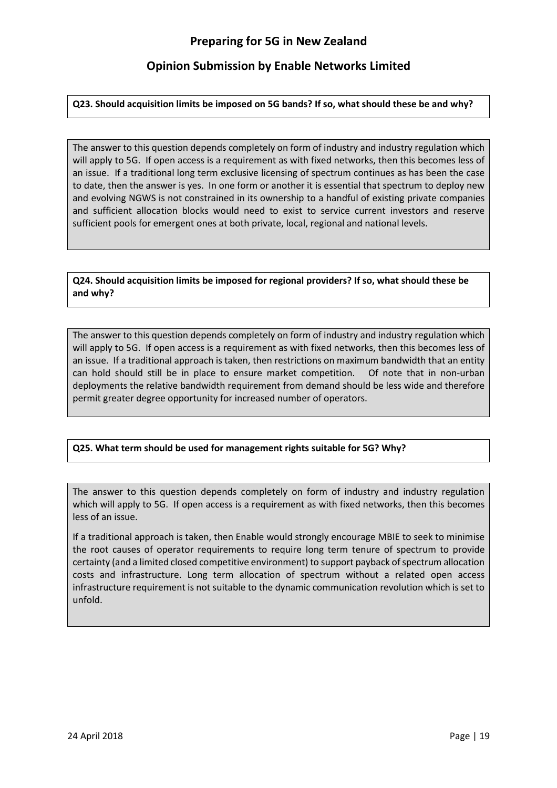#### Q23. Should acquisition limits be imposed on 5G bands? If so, what should these be and why?

The answer to this question depends completely on form of industry and industry regulation which will apply to 5G. If open access is a requirement as with fixed networks, then this becomes less of an issue. If a traditional long term exclusive licensing of spectrum continues as has been the case to date, then the answer is yes. In one form or another it is essential that spectrum to deploy new and evolving NGWS is not constrained in its ownership to a handful of existing private companies and sufficient allocation blocks would need to exist to service current investors and reserve sufficient pools for emergent ones at both private, local, regional and national levels.

#### Q24. Should acquisition limits be imposed for regional providers? If so, what should these be and why?

The answer to this question depends completely on form of industry and industry regulation which will apply to 5G. If open access is a requirement as with fixed networks, then this becomes less of an issue. If a traditional approach is taken, then restrictions on maximum bandwidth that an entity can hold should still be in place to ensure market competition. Of note that in non-urban deployments the relative bandwidth requirement from demand should be less wide and therefore permit greater degree opportunity for increased number of operators.

#### Q25. What term should be used for management rights suitable for 5G? Why?

The answer to this question depends completely on form of industry and industry regulation which will apply to 5G. If open access is a requirement as with fixed networks, then this becomes less of an issue.

If a traditional approach is taken, then Enable would strongly encourage MBIE to seek to minimise the root causes of operator requirements to require long term tenure of spectrum to provide certainty (and a limited closed competitive environment) to support payback of spectrum allocation costs and infrastructure. Long term allocation of spectrum without a related open access infrastructure requirement is not suitable to the dynamic communication revolution which is set to unfold.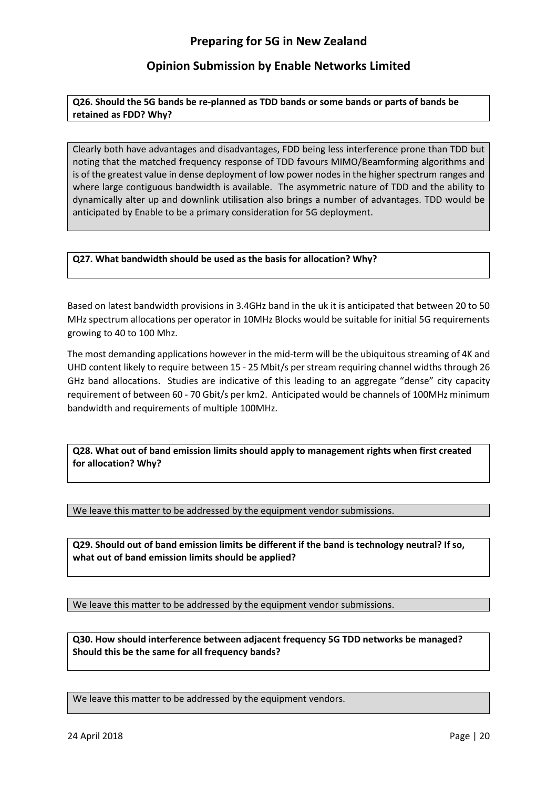Q26. Should the 5G bands be re-planned as TDD bands or some bands or parts of bands be retained as FDD? Why?

Clearly both have advantages and disadvantages, FDD being less interference prone than TDD but noting that the matched frequency response of TDD favours MIMO/Beamforming algorithms and is of the greatest value in dense deployment of low power nodes in the higher spectrum ranges and where large contiguous bandwidth is available. The asymmetric nature of TDD and the ability to dynamically alter up and downlink utilisation also brings a number of advantages. TDD would be anticipated by Enable to be a primary consideration for 5G deployment.

#### Q27. What bandwidth should be used as the basis for allocation? Why?

Based on latest bandwidth provisions in 3.4GHz band in the uk it is anticipated that between 20 to 50 MHz spectrum allocations per operator in 10MHz Blocks would be suitable for initial 5G requirements growing to 40 to 100 Mhz.

The most demanding applications however in the mid-term will be the ubiquitous streaming of 4K and UHD content likely to require between 15 - 25 Mbit/s per stream requiring channel widths through 26 GHz band allocations. Studies are indicative of this leading to an aggregate "dense" city capacity requirement of between 60 - 70 Gbit/s per km2. Anticipated would be channels of 100MHz minimum bandwidth and requirements of multiple 100MHz.

Q28. What out of band emission limits should apply to management rights when first created for allocation? Why?

We leave this matter to be addressed by the equipment vendor submissions.

Q29. Should out of band emission limits be different if the band is technology neutral? If so, what out of band emission limits should be applied?

We leave this matter to be addressed by the equipment vendor submissions.

Q30. How should interference between adjacent frequency 5G TDD networks be managed? Should this be the same for all frequency bands?

We leave this matter to be addressed by the equipment vendors.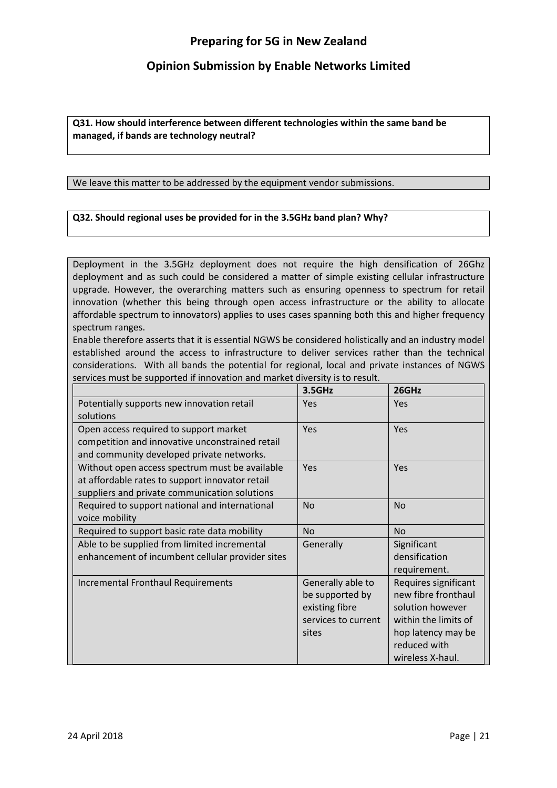### Opinion Submission by Enable Networks Limited

Q31. How should interference between different technologies within the same band be managed, if bands are technology neutral?

We leave this matter to be addressed by the equipment vendor submissions.

#### Q32. Should regional uses be provided for in the 3.5GHz band plan? Why?

Deployment in the 3.5GHz deployment does not require the high densification of 26Ghz deployment and as such could be considered a matter of simple existing cellular infrastructure upgrade. However, the overarching matters such as ensuring openness to spectrum for retail innovation (whether this being through open access infrastructure or the ability to allocate affordable spectrum to innovators) applies to uses cases spanning both this and higher frequency spectrum ranges.

Enable therefore asserts that it is essential NGWS be considered holistically and an industry model established around the access to infrastructure to deliver services rather than the technical considerations. With all bands the potential for regional, local and private instances of NGWS services must be supported if innovation and market diversity is to result.

|                                                  | 3.5GHz              | 26GHz                |
|--------------------------------------------------|---------------------|----------------------|
| Potentially supports new innovation retail       | <b>Yes</b>          | Yes                  |
| solutions                                        |                     |                      |
| Open access required to support market           | Yes                 | Yes                  |
| competition and innovative unconstrained retail  |                     |                      |
| and community developed private networks.        |                     |                      |
| Without open access spectrum must be available   | Yes                 | <b>Yes</b>           |
| at affordable rates to support innovator retail  |                     |                      |
| suppliers and private communication solutions    |                     |                      |
| Required to support national and international   | <b>No</b>           | <b>No</b>            |
| voice mobility                                   |                     |                      |
| Required to support basic rate data mobility     | <b>No</b>           | <b>No</b>            |
| Able to be supplied from limited incremental     | Generally           | Significant          |
| enhancement of incumbent cellular provider sites |                     | densification        |
|                                                  |                     | requirement.         |
| <b>Incremental Fronthaul Requirements</b>        | Generally able to   | Requires significant |
|                                                  | be supported by     | new fibre fronthaul  |
|                                                  | existing fibre      | solution however     |
|                                                  | services to current | within the limits of |
|                                                  | sites               | hop latency may be   |
|                                                  |                     | reduced with         |
|                                                  |                     | wireless X-haul.     |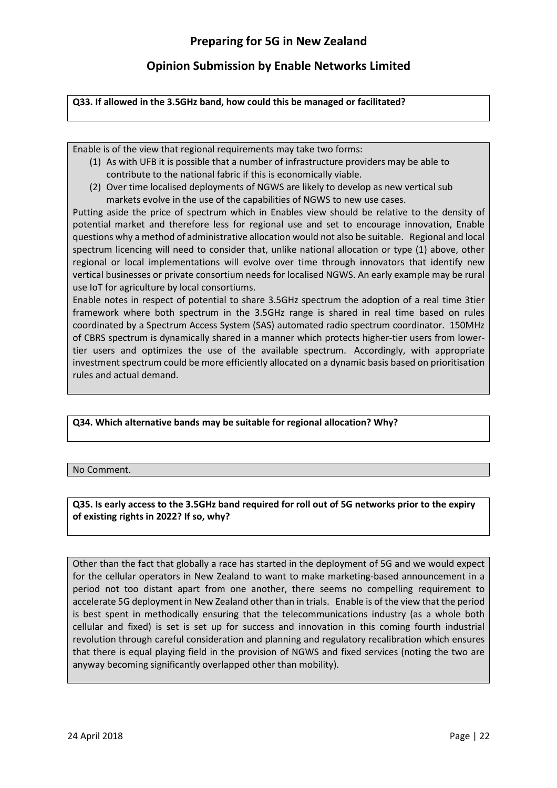#### Q33. If allowed in the 3.5GHz band, how could this be managed or facilitated?

Enable is of the view that regional requirements may take two forms:

- (1) As with UFB it is possible that a number of infrastructure providers may be able to contribute to the national fabric if this is economically viable.
- (2) Over time localised deployments of NGWS are likely to develop as new vertical sub markets evolve in the use of the capabilities of NGWS to new use cases.

Putting aside the price of spectrum which in Enables view should be relative to the density of potential market and therefore less for regional use and set to encourage innovation, Enable questions why a method of administrative allocation would not also be suitable. Regional and local spectrum licencing will need to consider that, unlike national allocation or type (1) above, other regional or local implementations will evolve over time through innovators that identify new vertical businesses or private consortium needs for localised NGWS. An early example may be rural use IoT for agriculture by local consortiums.

Enable notes in respect of potential to share 3.5GHz spectrum the adoption of a real time 3tier framework where both spectrum in the 3.5GHz range is shared in real time based on rules coordinated by a Spectrum Access System (SAS) automated radio spectrum coordinator. 150MHz of CBRS spectrum is dynamically shared in a manner which protects higher-tier users from lowertier users and optimizes the use of the available spectrum. Accordingly, with appropriate investment spectrum could be more efficiently allocated on a dynamic basis based on prioritisation rules and actual demand.

#### Q34. Which alternative bands may be suitable for regional allocation? Why?

#### No Comment.

Q35. Is early access to the 3.5GHz band required for roll out of 5G networks prior to the expiry of existing rights in 2022? If so, why?

Other than the fact that globally a race has started in the deployment of 5G and we would expect for the cellular operators in New Zealand to want to make marketing-based announcement in a period not too distant apart from one another, there seems no compelling requirement to accelerate 5G deployment in New Zealand other than in trials. Enable is of the view that the period is best spent in methodically ensuring that the telecommunications industry (as a whole both cellular and fixed) is set is set up for success and innovation in this coming fourth industrial revolution through careful consideration and planning and regulatory recalibration which ensures that there is equal playing field in the provision of NGWS and fixed services (noting the two are anyway becoming significantly overlapped other than mobility).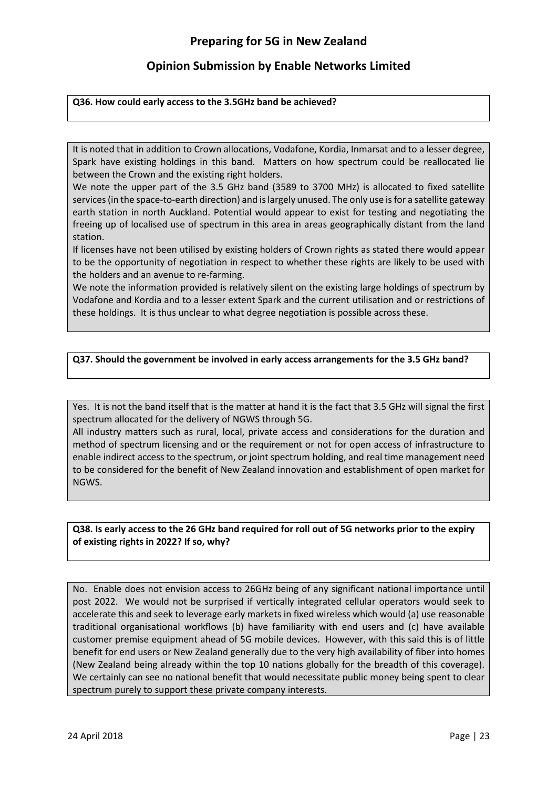## Opinion Submission by Enable Networks Limited

#### Q36. How could early access to the 3.5GHz band be achieved?

It is noted that in addition to Crown allocations, Vodafone, Kordia, Inmarsat and to a lesser degree, Spark have existing holdings in this band. Matters on how spectrum could be reallocated lie between the Crown and the existing right holders.

We note the upper part of the 3.5 GHz band (3589 to 3700 MHz) is allocated to fixed satellite services (in the space-to-earth direction) and is largely unused. The only use is for a satellite gateway earth station in north Auckland. Potential would appear to exist for testing and negotiating the freeing up of localised use of spectrum in this area in areas geographically distant from the land station.

If licenses have not been utilised by existing holders of Crown rights as stated there would appear to be the opportunity of negotiation in respect to whether these rights are likely to be used with the holders and an avenue to re-farming.

We note the information provided is relatively silent on the existing large holdings of spectrum by Vodafone and Kordia and to a lesser extent Spark and the current utilisation and or restrictions of these holdings. It is thus unclear to what degree negotiation is possible across these.

#### Q37. Should the government be involved in early access arrangements for the 3.5 GHz band?

Yes. It is not the band itself that is the matter at hand it is the fact that 3.5 GHz will signal the first spectrum allocated for the delivery of NGWS through 5G.

All industry matters such as rural, local, private access and considerations for the duration and method of spectrum licensing and or the requirement or not for open access of infrastructure to enable indirect access to the spectrum, or joint spectrum holding, and real time management need to be considered for the benefit of New Zealand innovation and establishment of open market for NGWS.

#### Q38. Is early access to the 26 GHz band required for roll out of 5G networks prior to the expiry of existing rights in 2022? If so, why?

No. Enable does not envision access to 26GHz being of any significant national importance until post 2022. We would not be surprised if vertically integrated cellular operators would seek to accelerate this and seek to leverage early markets in fixed wireless which would (a) use reasonable traditional organisational workflows (b) have familiarity with end users and (c) have available customer premise equipment ahead of 5G mobile devices. However, with this said this is of little benefit for end users or New Zealand generally due to the very high availability of fiber into homes (New Zealand being already within the top 10 nations globally for the breadth of this coverage). We certainly can see no national benefit that would necessitate public money being spent to clear spectrum purely to support these private company interests.